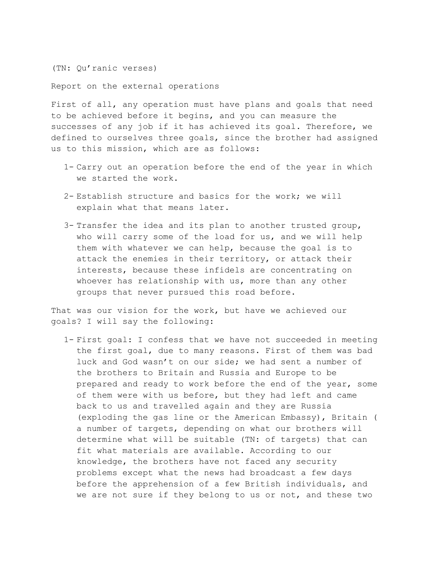(TN: Qu'ranic verses)

Report on the external operations

First of all, any operation must have plans and goals that need to be achieved before it begins, and you can measure the successes of any job if it has achieved its goal. Therefore, we defined to ourselves three goals, since the brother had assigned us to this mission, which are as follows:

- 1- Carry out an operation before the end of the year in which we started the work.
- 2- Establish structure and basics for the work; we will explain what that means later.
- 3- Transfer the idea and its plan to another trusted group, who will carry some of the load for us, and we will help them with whatever we can help, because the goal is to attack the enemies in their territory, or attack their interests, because these infidels are concentrating on whoever has relationship with us, more than any other groups that never pursued this road before.

That was our vision for the work, but have we achieved our goals? I will say the following:

1- First goal: I confess that we have not succeeded in meeting the first goal, due to many reasons. First of them was bad luck and God wasn't on our side; we had sent a number of the brothers to Britain and Russia and Europe to be prepared and ready to work before the end of the year, some of them were with us before, but they had left and came back to us and travelled again and they are Russia (exploding the gas line or the American Embassy), Britain ( a number of targets, depending on what our brothers will determine what will be suitable (TN: of targets) that can fit what materials are available. According to our knowledge, the brothers have not faced any security problems except what the news had broadcast a few days before the apprehension of a few British individuals, and we are not sure if they belong to us or not, and these two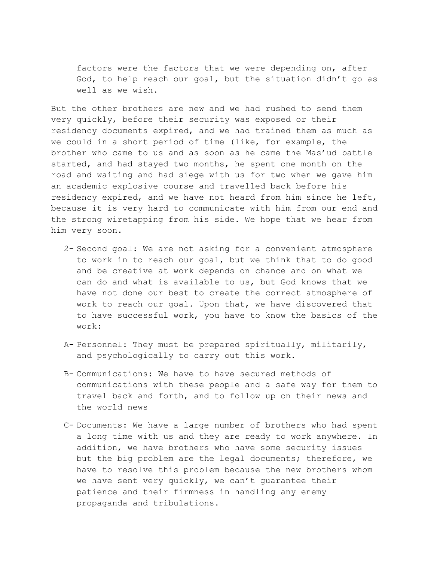factors were the factors that we were depending on, after God, to help reach our goal, but the situation didn't go as well as we wish.

But the other brothers are new and we had rushed to send them very quickly, before their security was exposed or their residency documents expired, and we had trained them as much as we could in a short period of time (like, for example, the brother who came to us and as soon as he came the Mas'ud battle started, and had stayed two months, he spent one month on the road and waiting and had siege with us for two when we gave him an academic explosive course and travelled back before his residency expired, and we have not heard from him since he left, because it is very hard to communicate with him from our end and the strong wiretapping from his side. We hope that we hear from him very soon.

- 2- Second goal: We are not asking for a convenient atmosphere to work in to reach our goal, but we think that to do good and be creative at work depends on chance and on what we can do and what is available to us, but God knows that we have not done our best to create the correct atmosphere of work to reach our goal. Upon that, we have discovered that to have successful work, you have to know the basics of the work:
- A- Personnel: They must be prepared spiritually, militarily, and psychologically to carry out this work.
- B- Communications: We have to have secured methods of communications with these people and a safe way for them to travel back and forth, and to follow up on their news and the world news
- C- Documents: We have a large number of brothers who had spent a long time with us and they are ready to work anywhere. In addition, we have brothers who have some security issues but the big problem are the legal documents; therefore, we have to resolve this problem because the new brothers whom we have sent very quickly, we can't guarantee their patience and their firmness in handling any enemy propaganda and tribulations.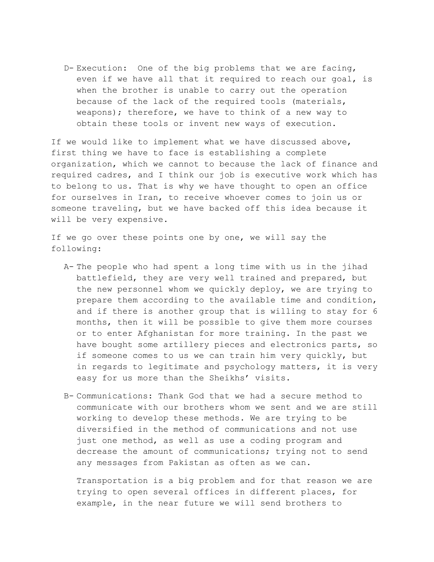D- Execution: One of the big problems that we are facing, even if we have all that it required to reach our goal, is when the brother is unable to carry out the operation because of the lack of the required tools (materials, weapons); therefore, we have to think of a new way to obtain these tools or invent new ways of execution.

If we would like to implement what we have discussed above, first thing we have to face is establishing a complete organization, which we cannot to because the lack of finance and required cadres, and I think our job is executive work which has to belong to us. That is why we have thought to open an office for ourselves in Iran, to receive whoever comes to join us or someone traveling, but we have backed off this idea because it will be very expensive.

If we go over these points one by one, we will say the following:

- A- The people who had spent a long time with us in the jihad battlefield, they are very well trained and prepared, but the new personnel whom we quickly deploy, we are trying to prepare them according to the available time and condition, and if there is another group that is willing to stay for 6 months, then it will be possible to give them more courses or to enter Afghanistan for more training. In the past we have bought some artillery pieces and electronics parts, so if someone comes to us we can train him very quickly, but in regards to legitimate and psychology matters, it is very easy for us more than the Sheikhs' visits.
- B- Communications: Thank God that we had a secure method to communicate with our brothers whom we sent and we are still working to develop these methods. We are trying to be diversified in the method of communications and not use just one method, as well as use a coding program and decrease the amount of communications; trying not to send any messages from Pakistan as often as we can.

Transportation is a big problem and for that reason we are trying to open several offices in different places, for example, in the near future we will send brothers to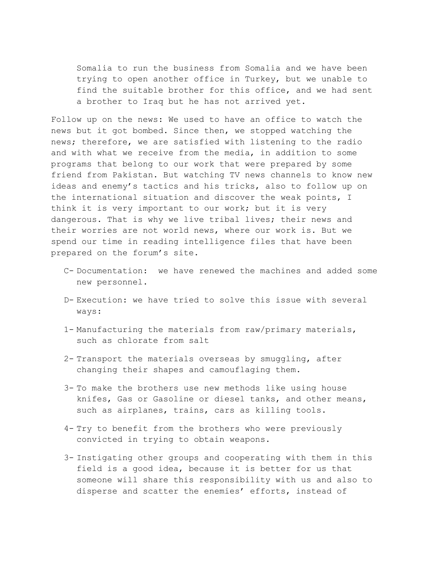Somalia to run the business from Somalia and we have been trying to open another office in Turkey, but we unable to find the suitable brother for this office, and we had sent a brother to Iraq but he has not arrived yet.

Follow up on the news: We used to have an office to watch the news but it got bombed. Since then, we stopped watching the news; therefore, we are satisfied with listening to the radio and with what we receive from the media, in addition to some programs that belong to our work that were prepared by some friend from Pakistan. But watching TV news channels to know new ideas and enemy's tactics and his tricks, also to follow up on the international situation and discover the weak points, I think it is very important to our work; but it is very dangerous. That is why we live tribal lives; their news and their worries are not world news, where our work is. But we spend our time in reading intelligence files that have been prepared on the forum's site.

- C- Documentation: we have renewed the machines and added some new personnel.
- D- Execution: we have tried to solve this issue with several ways:
- 1- Manufacturing the materials from raw/primary materials, such as chlorate from salt
- 2- Transport the materials overseas by smuggling, after changing their shapes and camouflaging them.
- 3- To make the brothers use new methods like using house knifes, Gas or Gasoline or diesel tanks, and other means, such as airplanes, trains, cars as killing tools.
- 4- Try to benefit from the brothers who were previously convicted in trying to obtain weapons.
- 3- Instigating other groups and cooperating with them in this field is a good idea, because it is better for us that someone will share this responsibility with us and also to disperse and scatter the enemies' efforts, instead of